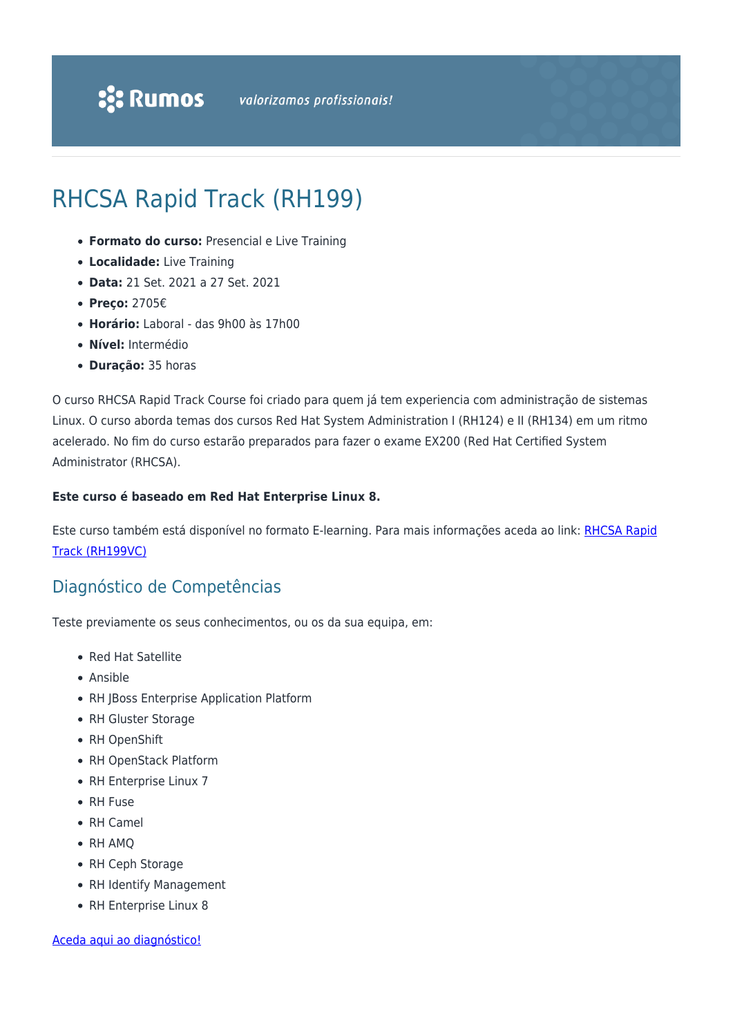# RHCSA Rapid Track (RH199)

- **Formato do curso:** Presencial e Live Training
- **Localidade:** Live Training
- **Data:** 21 Set. 2021 a 27 Set. 2021
- **Preço:** 2705€
- **Horário:** Laboral das 9h00 às 17h00
- **Nível:** Intermédio
- **Duração:** 35 horas

O curso RHCSA Rapid Track Course foi criado para quem já tem experiencia com administração de sistemas Linux. O curso aborda temas dos cursos Red Hat System Administration I (RH124) e II (RH134) em um ritmo acelerado. No fim do curso estarão preparados para fazer o exame EX200 (Red Hat Certified System Administrator (RHCSA).

#### **Este curso é baseado em Red Hat Enterprise Linux 8.**

Este curso também está disponível no formato E-learning. Para mais informações aceda ao link: [RHCSA Rapid](https://rumos.pt/curso/rhcsa-rapid-track-rh199vc-e-learning/) [Track \(RH199VC\)](https://rumos.pt/curso/rhcsa-rapid-track-rh199vc-e-learning/)

### Diagnóstico de Competências

Teste previamente os seus conhecimentos, ou os da sua equipa, em:

- Red Hat Satellite
- Ansible
- RH JBoss Enterprise Application Platform
- RH Gluster Storage
- RH OpenShift
- RH OpenStack Platform
- RH Enterprise Linux 7
- RH Fuse
- RH Camel
- RH AMO
- RH Ceph Storage
- RH Identify Management
- RH Enterprise Linux 8

#### [Aceda aqui ao diagnóstico!](https://www.redhat.com/rhtapps/assessment/?partner=rumos)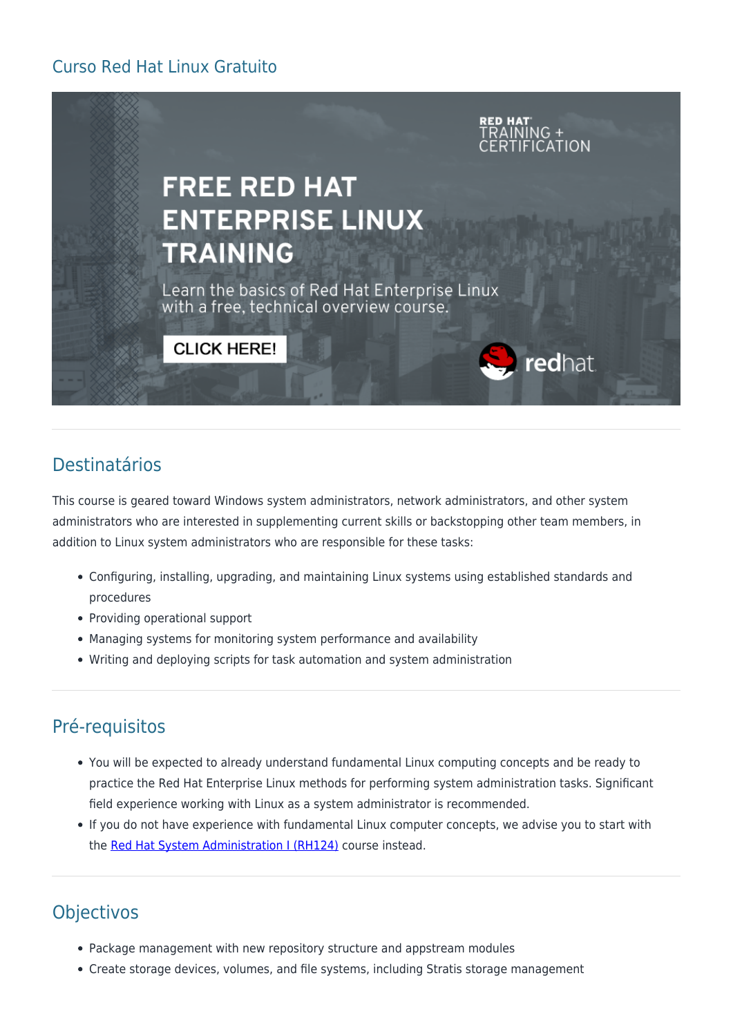## Curso Red Hat Linux Gratuito



# Destinatários

This course is geared toward Windows system administrators, network administrators, and other system administrators who are interested in supplementing current skills or backstopping other team members, in addition to Linux system administrators who are responsible for these tasks:

- Configuring, installing, upgrading, and maintaining Linux systems using established standards and procedures
- Providing operational support
- Managing systems for monitoring system performance and availability
- Writing and deploying scripts for task automation and system administration

# Pré-requisitos

- You will be expected to already understand fundamental Linux computing concepts and be ready to practice the Red Hat Enterprise Linux methods for performing system administration tasks. Significant field experience working with Linux as a system administrator is recommended.
- If you do not have experience with fundamental Linux computer concepts, we advise you to start with the [Red Hat System Administration I \(RH124\)](https://rumos.pt/curso/red-hat-system-administration-i-rh124-presencial-com-live-training/) course instead.

# **Objectivos**

- Package management with new repository structure and appstream modules
- Create storage devices, volumes, and file systems, including Stratis storage management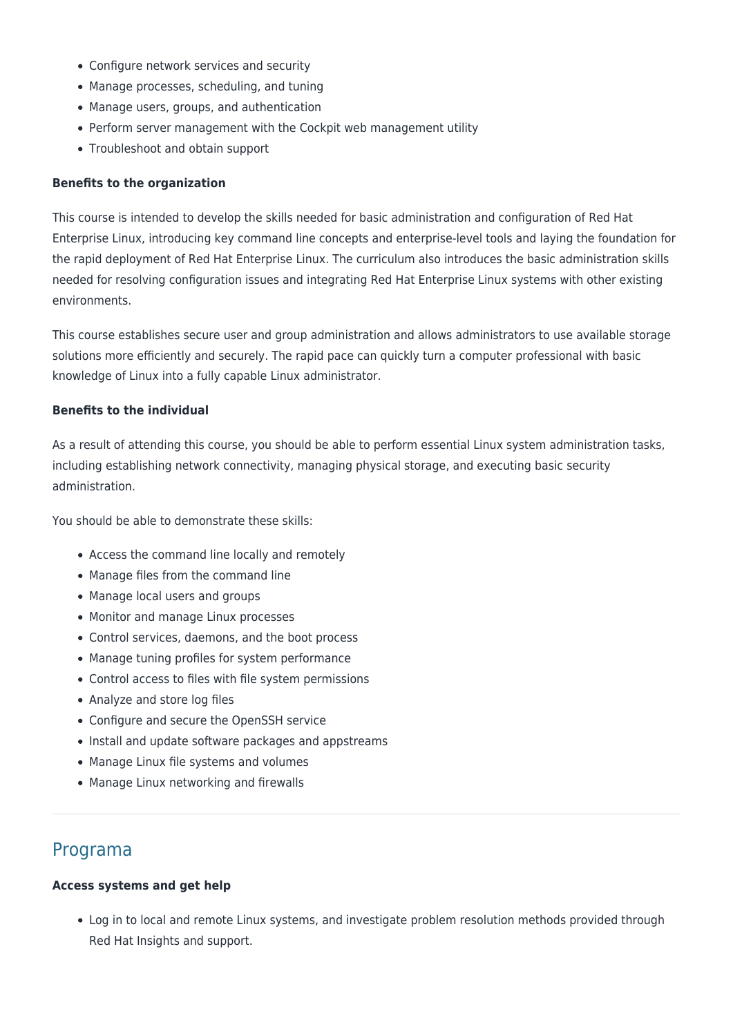- Configure network services and security
- Manage processes, scheduling, and tuning
- Manage users, groups, and authentication
- Perform server management with the Cockpit web management utility
- Troubleshoot and obtain support

#### **Benefits to the organization**

This course is intended to develop the skills needed for basic administration and configuration of Red Hat Enterprise Linux, introducing key command line concepts and enterprise-level tools and laying the foundation for the rapid deployment of Red Hat Enterprise Linux. The curriculum also introduces the basic administration skills needed for resolving configuration issues and integrating Red Hat Enterprise Linux systems with other existing environments.

This course establishes secure user and group administration and allows administrators to use available storage solutions more efficiently and securely. The rapid pace can quickly turn a computer professional with basic knowledge of Linux into a fully capable Linux administrator.

#### **Benefits to the individual**

As a result of attending this course, you should be able to perform essential Linux system administration tasks, including establishing network connectivity, managing physical storage, and executing basic security administration.

You should be able to demonstrate these skills:

- Access the command line locally and remotely
- Manage files from the command line
- Manage local users and groups
- Monitor and manage Linux processes
- Control services, daemons, and the boot process
- Manage tuning profiles for system performance
- Control access to files with file system permissions
- Analyze and store log files
- Configure and secure the OpenSSH service
- Install and update software packages and appstreams
- Manage Linux file systems and volumes
- Manage Linux networking and firewalls

### Programa

#### **Access systems and get help**

Log in to local and remote Linux systems, and investigate problem resolution methods provided through Red Hat Insights and support.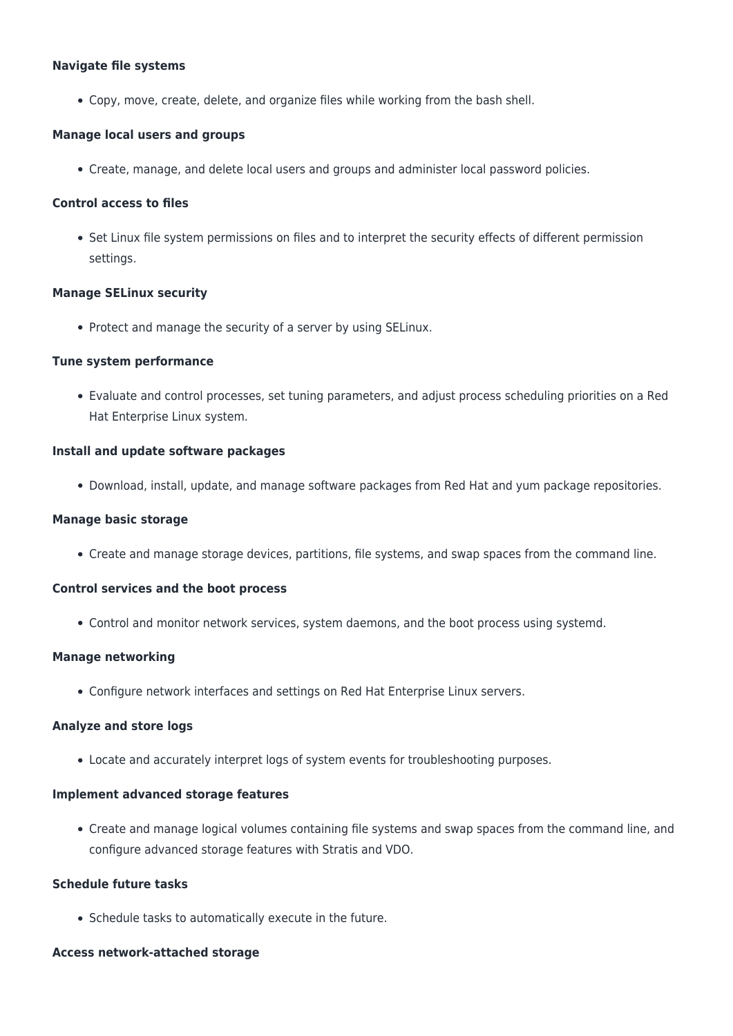#### **Navigate file systems**

Copy, move, create, delete, and organize files while working from the bash shell.

#### **Manage local users and groups**

Create, manage, and delete local users and groups and administer local password policies.

#### **Control access to files**

• Set Linux file system permissions on files and to interpret the security effects of different permission settings.

#### **Manage SELinux security**

• Protect and manage the security of a server by using SELinux.

#### **Tune system performance**

Evaluate and control processes, set tuning parameters, and adjust process scheduling priorities on a Red Hat Enterprise Linux system.

#### **Install and update software packages**

Download, install, update, and manage software packages from Red Hat and yum package repositories.

#### **Manage basic storage**

Create and manage storage devices, partitions, file systems, and swap spaces from the command line.

#### **Control services and the boot process**

Control and monitor network services, system daemons, and the boot process using systemd.

#### **Manage networking**

Configure network interfaces and settings on Red Hat Enterprise Linux servers.

#### **Analyze and store logs**

Locate and accurately interpret logs of system events for troubleshooting purposes.

#### **Implement advanced storage features**

Create and manage logical volumes containing file systems and swap spaces from the command line, and configure advanced storage features with Stratis and VDO.

#### **Schedule future tasks**

Schedule tasks to automatically execute in the future.

#### **Access network-attached storage**